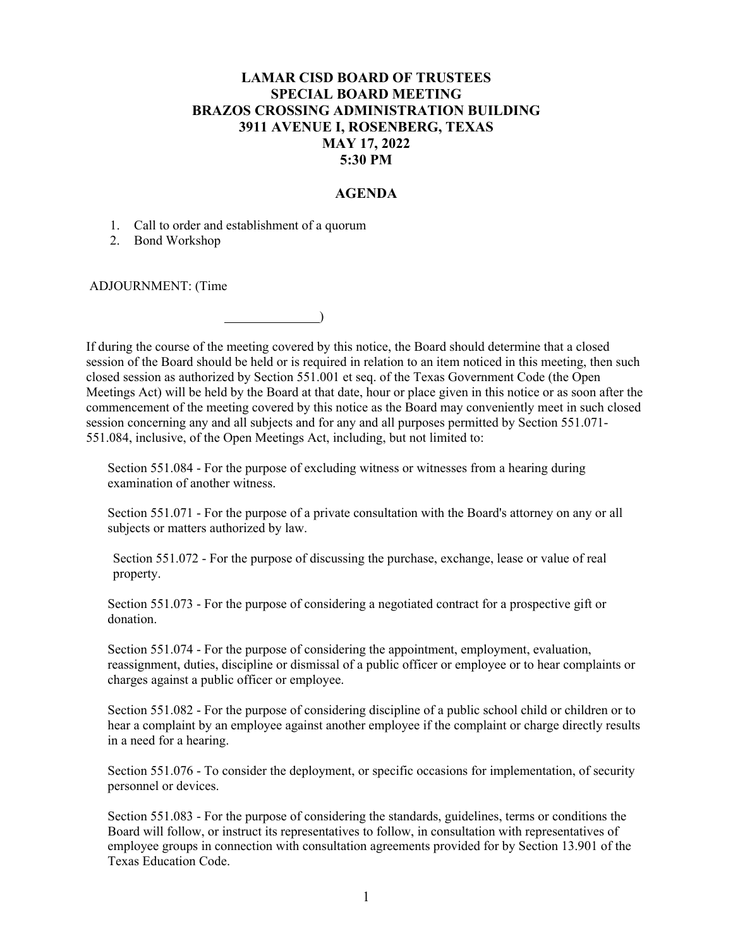## **LAMAR CISD BOARD OF TRUSTEES SPECIAL BOARD MEETING BRAZOS CROSSING ADMINISTRATION BUILDING 3911 AVENUE I, ROSENBERG, TEXAS MAY 17, 2022 5:30 PM**

## **AGENDA**

1. Call to order and establishment of a quorum

2. Bond Workshop

ADJOURNMENT: (Time

If during the course of the meeting covered by this notice, the Board should determine that a closed session of the Board should be held or is required in relation to an item noticed in this meeting, then such closed session as authorized by Section 551.001 et seq. of the Texas Government Code (the Open Meetings Act) will be held by the Board at that date, hour or place given in this notice or as soon after the commencement of the meeting covered by this notice as the Board may conveniently meet in such closed session concerning any and all subjects and for any and all purposes permitted by Section 551.071- 551.084, inclusive, of the Open Meetings Act, including, but not limited to:

Section 551.084 - For the purpose of excluding witness or witnesses from a hearing during examination of another witness.

)

Section 551.071 - For the purpose of a private consultation with the Board's attorney on any or all subjects or matters authorized by law.

Section 551.072 - For the purpose of discussing the purchase, exchange, lease or value of real property.

Section 551.073 - For the purpose of considering a negotiated contract for a prospective gift or donation.

Section 551.074 - For the purpose of considering the appointment, employment, evaluation, reassignment, duties, discipline or dismissal of a public officer or employee or to hear complaints or charges against a public officer or employee.

Section 551.082 - For the purpose of considering discipline of a public school child or children or to hear a complaint by an employee against another employee if the complaint or charge directly results in a need for a hearing.

Section 551.076 - To consider the deployment, or specific occasions for implementation, of security personnel or devices.

Section 551.083 - For the purpose of considering the standards, guidelines, terms or conditions the Board will follow, or instruct its representatives to follow, in consultation with representatives of employee groups in connection with consultation agreements provided for by Section 13.901 of the Texas Education Code.